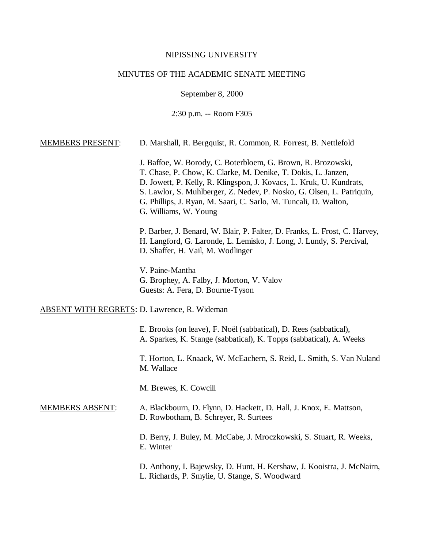#### NIPISSING UNIVERSITY

### MINUTES OF THE ACADEMIC SENATE MEETING

September 8, 2000

2:30 p.m. -- Room F305

#### MEMBERS PRESENT: D. Marshall, R. Bergquist, R. Common, R. Forrest, B. Nettlefold

J. Baffoe, W. Borody, C. Boterbloem, G. Brown, R. Brozowski, T. Chase, P. Chow, K. Clarke, M. Denike, T. Dokis, L. Janzen, D. Jowett, P. Kelly, R. Klingspon, J. Kovacs, L. Kruk, U. Kundrats, S. Lawlor, S. Muhlberger, Z. Nedev, P. Nosko, G. Olsen, L. Patriquin, G. Phillips, J. Ryan, M. Saari, C. Sarlo, M. Tuncali, D. Walton, G. Williams, W. Young

P. Barber, J. Benard, W. Blair, P. Falter, D. Franks, L. Frost, C. Harvey, H. Langford, G. Laronde, L. Lemisko, J. Long, J. Lundy, S. Percival, D. Shaffer, H. Vail, M. Wodlinger

V. Paine-Mantha G. Brophey, A. Falby, J. Morton, V. Valov Guests: A. Fera, D. Bourne-Tyson

## ABSENT WITH REGRETS: D. Lawrence, R. Wideman

E. Brooks (on leave), F. Noël (sabbatical), D. Rees (sabbatical), A. Sparkes, K. Stange (sabbatical), K. Topps (sabbatical), A. Weeks

T. Horton, L. Knaack, W. McEachern, S. Reid, L. Smith, S. Van Nuland M. Wallace

M. Brewes, K. Cowcill

## MEMBERS ABSENT: A. Blackbourn, D. Flynn, D. Hackett, D. Hall, J. Knox, E. Mattson, D. Rowbotham, B. Schreyer, R. Surtees

D. Berry, J. Buley, M. McCabe, J. Mroczkowski, S. Stuart, R. Weeks, E. Winter

D. Anthony, I. Bajewsky, D. Hunt, H. Kershaw, J. Kooistra, J. McNairn, L. Richards, P. Smylie, U. Stange, S. Woodward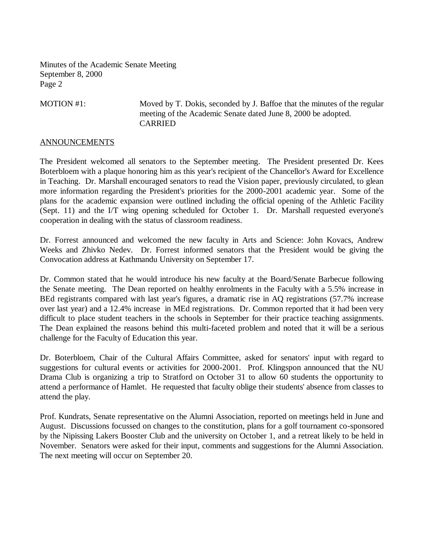MOTION #1: Moved by T. Dokis, seconded by J. Baffoe that the minutes of the regular meeting of the Academic Senate dated June 8, 2000 be adopted. CARRIED

# ANNOUNCEMENTS

The President welcomed all senators to the September meeting. The President presented Dr. Kees Boterbloem with a plaque honoring him as this year's recipient of the Chancellor's Award for Excellence in Teaching. Dr. Marshall encouraged senators to read the Vision paper, previously circulated, to glean more information regarding the President's priorities for the 2000-2001 academic year. Some of the plans for the academic expansion were outlined including the official opening of the Athletic Facility (Sept. 11) and the I/T wing opening scheduled for October 1. Dr. Marshall requested everyone's cooperation in dealing with the status of classroom readiness.

Dr. Forrest announced and welcomed the new faculty in Arts and Science: John Kovacs, Andrew Weeks and Zhivko Nedev. Dr. Forrest informed senators that the President would be giving the Convocation address at Kathmandu University on September 17.

Dr. Common stated that he would introduce his new faculty at the Board/Senate Barbecue following the Senate meeting. The Dean reported on healthy enrolments in the Faculty with a 5.5% increase in BEd registrants compared with last year's figures, a dramatic rise in AQ registrations (57.7% increase over last year) and a 12.4% increase in MEd registrations. Dr. Common reported that it had been very difficult to place student teachers in the schools in September for their practice teaching assignments. The Dean explained the reasons behind this multi-faceted problem and noted that it will be a serious challenge for the Faculty of Education this year.

Dr. Boterbloem, Chair of the Cultural Affairs Committee, asked for senators' input with regard to suggestions for cultural events or activities for 2000-2001. Prof. Klingspon announced that the NU Drama Club is organizing a trip to Stratford on October 31 to allow 60 students the opportunity to attend a performance of Hamlet. He requested that faculty oblige their students' absence from classes to attend the play.

Prof. Kundrats, Senate representative on the Alumni Association, reported on meetings held in June and August. Discussions focussed on changes to the constitution, plans for a golf tournament co-sponsored by the Nipissing Lakers Booster Club and the university on October 1, and a retreat likely to be held in November. Senators were asked for their input, comments and suggestions for the Alumni Association. The next meeting will occur on September 20.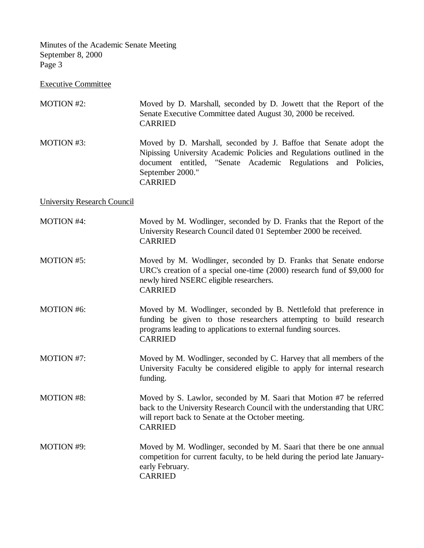Executive Committee

| <b>MOTION #2:</b>                  | Moved by D. Marshall, seconded by D. Jowett that the Report of the<br>Senate Executive Committee dated August 30, 2000 be received.<br><b>CARRIED</b>                                                                                                 |
|------------------------------------|-------------------------------------------------------------------------------------------------------------------------------------------------------------------------------------------------------------------------------------------------------|
| <b>MOTION #3:</b>                  | Moved by D. Marshall, seconded by J. Baffoe that Senate adopt the<br>Nipissing University Academic Policies and Regulations outlined in the<br>document entitled, "Senate Academic Regulations<br>and Policies,<br>September 2000."<br><b>CARRIED</b> |
| <b>University Research Council</b> |                                                                                                                                                                                                                                                       |
| <b>MOTION #4:</b>                  | Moved by M. Wodlinger, seconded by D. Franks that the Report of the<br>University Research Council dated 01 September 2000 be received.<br><b>CARRIED</b>                                                                                             |
| MOTION #5:                         | Moved by M. Wodlinger, seconded by D. Franks that Senate endorse<br>URC's creation of a special one-time (2000) research fund of \$9,000 for<br>newly hired NSERC eligible researchers.<br><b>CARRIED</b>                                             |
| <b>MOTION #6:</b>                  | Moved by M. Wodlinger, seconded by B. Nettlefold that preference in<br>funding be given to those researchers attempting to build research<br>programs leading to applications to external funding sources.<br><b>CARRIED</b>                          |
| MOTION #7:                         | Moved by M. Wodlinger, seconded by C. Harvey that all members of the<br>University Faculty be considered eligible to apply for internal research<br>funding.                                                                                          |
| <b>MOTION #8:</b>                  | Moved by S. Lawlor, seconded by M. Saari that Motion #7 be referred<br>back to the University Research Council with the understanding that URC<br>will report back to Senate at the October meeting.<br><b>CARRIED</b>                                |
| <b>MOTION #9:</b>                  | Moved by M. Wodlinger, seconded by M. Saari that there be one annual<br>competition for current faculty, to be held during the period late January-<br>early February.<br><b>CARRIED</b>                                                              |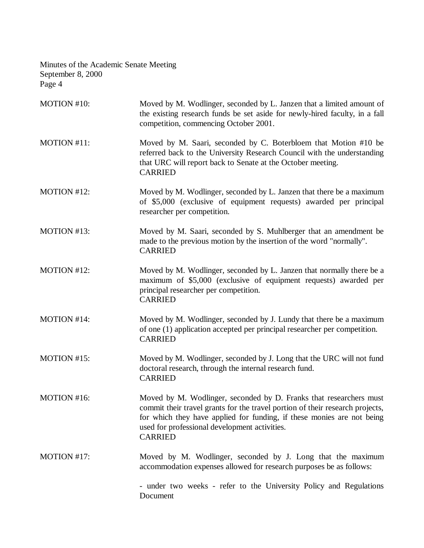| MOTION #10: | Moved by M. Wodlinger, seconded by L. Janzen that a limited amount of<br>the existing research funds be set aside for newly-hired faculty, in a fall<br>competition, commencing October 2001.                                                                                                    |
|-------------|--------------------------------------------------------------------------------------------------------------------------------------------------------------------------------------------------------------------------------------------------------------------------------------------------|
| MOTION #11: | Moved by M. Saari, seconded by C. Boterbloem that Motion #10 be<br>referred back to the University Research Council with the understanding<br>that URC will report back to Senate at the October meeting.<br><b>CARRIED</b>                                                                      |
| MOTION #12: | Moved by M. Wodlinger, seconded by L. Janzen that there be a maximum<br>of \$5,000 (exclusive of equipment requests) awarded per principal<br>researcher per competition.                                                                                                                        |
| MOTION #13: | Moved by M. Saari, seconded by S. Muhlberger that an amendment be<br>made to the previous motion by the insertion of the word "normally".<br><b>CARRIED</b>                                                                                                                                      |
| MOTION #12: | Moved by M. Wodlinger, seconded by L. Janzen that normally there be a<br>maximum of \$5,000 (exclusive of equipment requests) awarded per<br>principal researcher per competition.<br><b>CARRIED</b>                                                                                             |
| MOTION #14: | Moved by M. Wodlinger, seconded by J. Lundy that there be a maximum<br>of one (1) application accepted per principal researcher per competition.<br><b>CARRIED</b>                                                                                                                               |
| MOTION #15: | Moved by M. Wodlinger, seconded by J. Long that the URC will not fund<br>doctoral research, through the internal research fund.<br><b>CARRIED</b>                                                                                                                                                |
| MOTION #16: | Moved by M. Wodlinger, seconded by D. Franks that researchers must<br>commit their travel grants for the travel portion of their research projects,<br>for which they have applied for funding, if these monies are not being<br>used for professional development activities.<br><b>CARRIED</b> |
| MOTION #17: | Moved by M. Wodlinger, seconded by J. Long that the maximum<br>accommodation expenses allowed for research purposes be as follows:                                                                                                                                                               |
|             | - under two weeks - refer to the University Policy and Regulations<br>Document                                                                                                                                                                                                                   |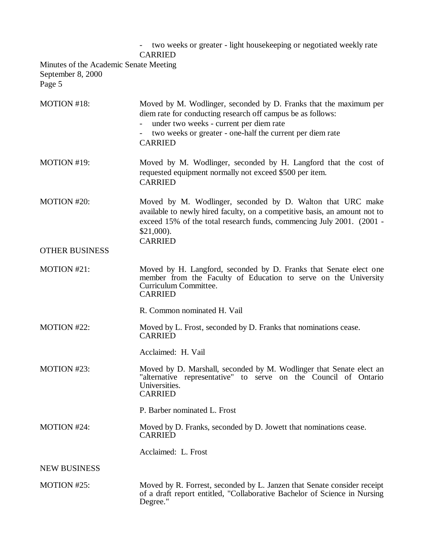two weeks or greater - light housekeeping or negotiated weekly rate CARRIED Minutes of the Academic Senate Meeting September 8, 2000 Page 5 MOTION #18: Moved by M. Wodlinger, seconded by D. Franks that the maximum per diem rate for conducting research off campus be as follows: - under two weeks - current per diem rate two weeks or greater - one-half the current per diem rate CARRIED MOTION #19: Moved by M. Wodlinger, seconded by H. Langford that the cost of requested equipment normally not exceed \$500 per item. CARRIED MOTION #20: Moved by M. Wodlinger, seconded by D. Walton that URC make available to newly hired faculty, on a competitive basis, an amount not to exceed 15% of the total research funds, commencing July 2001. (2001 - \$21,000). CARRIED OTHER BUSINESS MOTION #21: Moved by H. Langford, seconded by D. Franks that Senate elect one member from the Faculty of Education to serve on the University Curriculum Committee. CARRIED R. Common nominated H. Vail MOTION #22: Moved by L. Frost, seconded by D. Franks that nominations cease. CARRIED Acclaimed: H. Vail MOTION #23: Moved by D. Marshall, seconded by M. Wodlinger that Senate elect an "alternative representative" to serve on the Council of Ontario Universities. CARRIED P. Barber nominated L. Frost MOTION #24: Moved by D. Franks, seconded by D. Jowett that nominations cease. CARRIED Acclaimed: L. Frost NEW BUSINESS MOTION #25: Moved by R. Forrest, seconded by L. Janzen that Senate consider receipt of a draft report entitled, "Collaborative Bachelor of Science in Nursing Degree."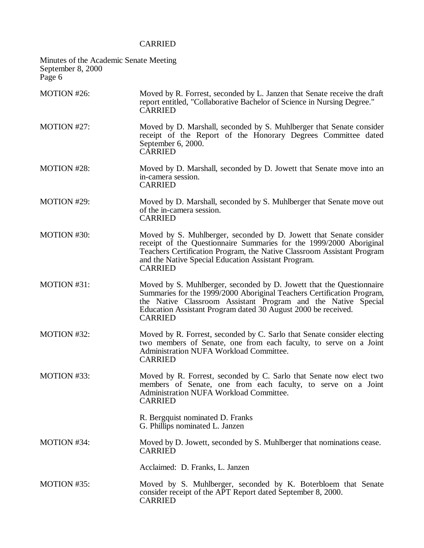# CARRIED

| Minutes of the Academic Senate Meeting<br>September 8, 2000<br>Page 6 |                                                                                                                                                                                                                                                                                                    |
|-----------------------------------------------------------------------|----------------------------------------------------------------------------------------------------------------------------------------------------------------------------------------------------------------------------------------------------------------------------------------------------|
| MOTION #26:                                                           | Moved by R. Forrest, seconded by L. Janzen that Senate receive the draft<br>report entitled, "Collaborative Bachelor of Science in Nursing Degree."<br><b>CARRIED</b>                                                                                                                              |
| MOTION #27:                                                           | Moved by D. Marshall, seconded by S. Muhlberger that Senate consider<br>receipt of the Report of the Honorary Degrees Committee dated<br>September 6, 2000.<br><b>CARRIED</b>                                                                                                                      |
| <b>MOTION #28:</b>                                                    | Moved by D. Marshall, seconded by D. Jowett that Senate move into an<br>in-camera session.<br><b>CARRIED</b>                                                                                                                                                                                       |
| MOTION #29:                                                           | Moved by D. Marshall, seconded by S. Muhlberger that Senate move out<br>of the in-camera session.<br><b>CARRIED</b>                                                                                                                                                                                |
| MOTION #30:                                                           | Moved by S. Muhlberger, seconded by D. Jowett that Senate consider<br>receipt of the Questionnaire Summaries for the 1999/2000 Aboriginal<br>Teachers Certification Program, the Native Classroom Assistant Program<br>and the Native Special Education Assistant Program.<br><b>CARRIED</b>       |
| MOTION #31:                                                           | Moved by S. Muhlberger, seconded by D. Jowett that the Questionnaire<br>Summaries for the 1999/2000 Aboriginal Teachers Certification Program,<br>the Native Classroom Assistant Program and the Native Special<br>Education Assistant Program dated 30 August 2000 be received.<br><b>CARRIED</b> |
| MOTION #32:                                                           | Moved by R. Forrest, seconded by C. Sarlo that Senate consider electing<br>two members of Senate, one from each faculty, to serve on a Joint<br>Administration NUFA Workload Committee.<br><b>CARRIED</b>                                                                                          |
| MOTION #33:                                                           | Moved by R. Forrest, seconded by C. Sarlo that Senate now elect two<br>members of Senate, one from each faculty, to serve on a Joint<br>Administration NUFA Workload Committee.<br><b>CARRIED</b>                                                                                                  |
|                                                                       | R. Bergquist nominated D. Franks<br>G. Phillips nominated L. Janzen                                                                                                                                                                                                                                |
| MOTION #34:                                                           | Moved by D. Jowett, seconded by S. Muhlberger that nominations cease.<br><b>CARRIED</b>                                                                                                                                                                                                            |
|                                                                       | Acclaimed: D. Franks, L. Janzen                                                                                                                                                                                                                                                                    |
| MOTION #35:                                                           | Moved by S. Muhlberger, seconded by K. Boterbloem that Senate<br>consider receipt of the APT Report dated September 8, 2000.<br><b>CARRIED</b>                                                                                                                                                     |